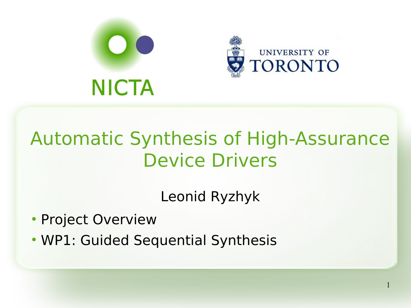

#### Automatic Synthesis of High-Assurance Device Drivers

Leonid Ryzhyk

1

- Project Overview
- WP1: Guided Sequential Synthesis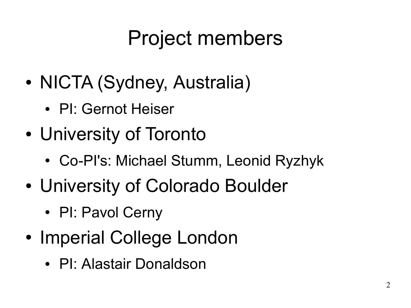# Project members

- NICTA (Sydney, Australia)
	- PI: Gernot Heiser
- University of Toronto
	- Co-PI's: Michael Stumm, Leonid Ryzhyk
- University of Colorado Boulder
	- PI: Pavol Cerny
- Imperial College London
	- PI: Alastair Donaldson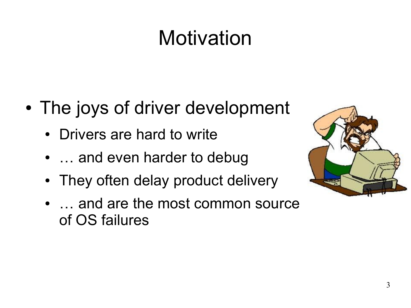# **Motivation**

- The joys of driver development
	- Drivers are hard to write
	- ... and even harder to debug
	- They often delay product delivery
	- ... and are the most common source of OS failures

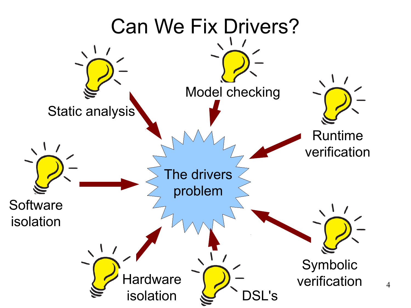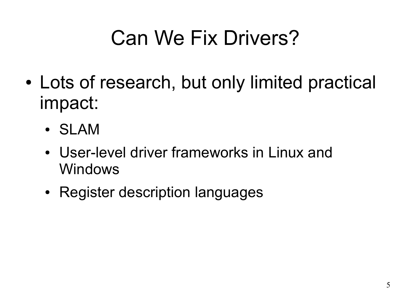# Can We Fix Drivers?

- Lots of research, but only limited practical impact:
	- SLAM
	- User-level driver frameworks in Linux and Windows
	- Register description languages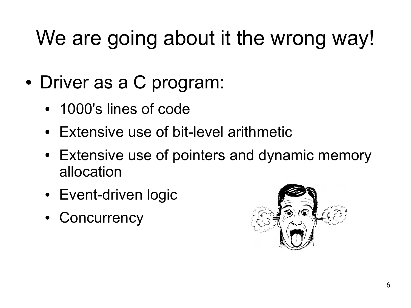# We are going about it the wrong way!

- Driver as a C program:
	- 1000's lines of code
	- Extensive use of bit-level arithmetic
	- Extensive use of pointers and dynamic memory allocation
	- Event-driven logic
	- **Concurrency**

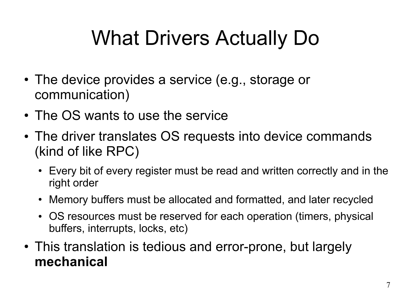# What Drivers Actually Do

- The device provides a service (e.g., storage or communication)
- The OS wants to use the service
- The driver translates OS requests into device commands (kind of like RPC)
	- Every bit of every register must be read and written correctly and in the right order
	- Memory buffers must be allocated and formatted, and later recycled
	- OS resources must be reserved for each operation (timers, physical buffers, interrupts, locks, etc)
- This translation is tedious and error-prone, but largely **mechanical**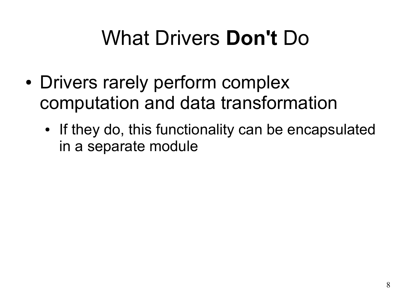# What Drivers **Don't** Do

- Drivers rarely perform complex computation and data transformation
	- If they do, this functionality can be encapsulated in a separate module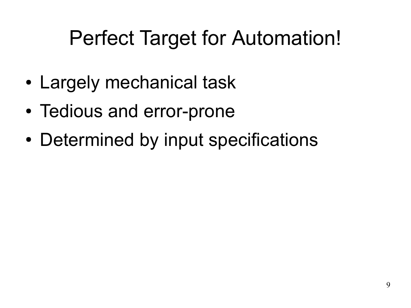# Perfect Target for Automation!

- Largely mechanical task
- Tedious and error-prone
- Determined by input specifications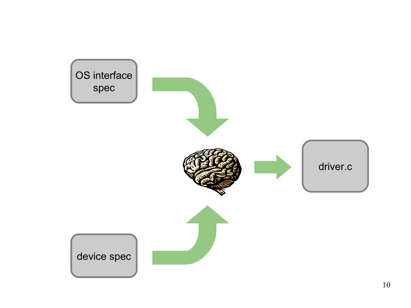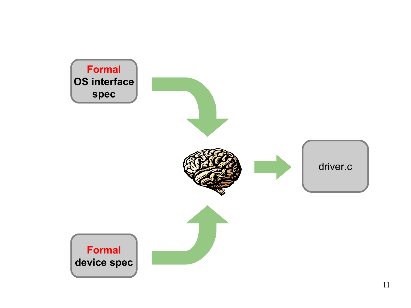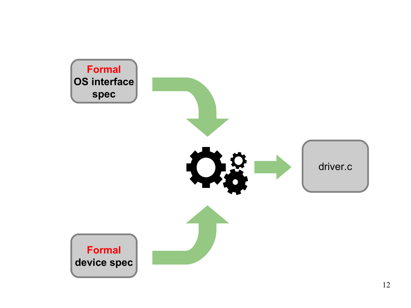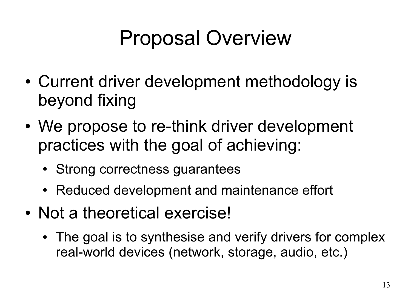# Proposal Overview

- Current driver development methodology is beyond fixing
- We propose to re-think driver development practices with the goal of achieving:
	- Strong correctness guarantees
	- Reduced development and maintenance effort
- Not a theoretical exercise!
	- The goal is to synthesise and verify drivers for complex real-world devices (network, storage, audio, etc.)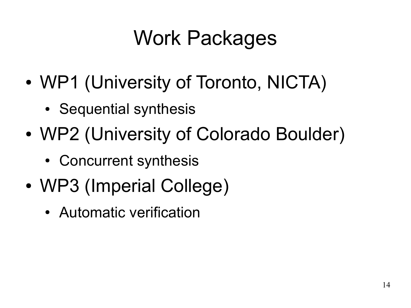# Work Packages

- WP1 (University of Toronto, NICTA)
	- Sequential synthesis
- WP2 (University of Colorado Boulder)
	- Concurrent synthesis
- WP3 (Imperial College)
	- Automatic verification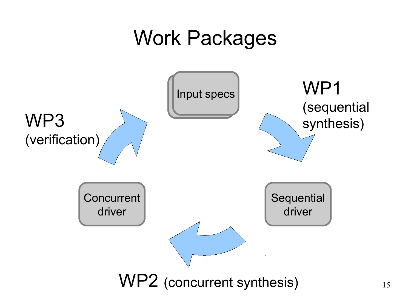#### Work Packages

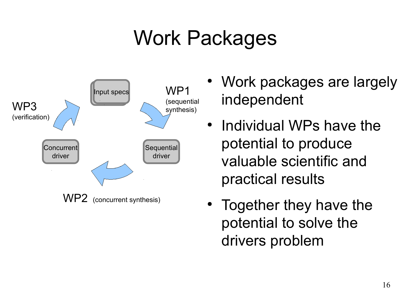# Work Packages



- Work packages are largely independent
- Individual WPs have the potential to produce valuable scientific and practical results
- Together they have the potential to solve the drivers problem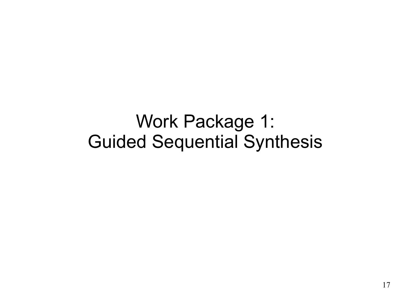#### Work Package 1: Guided Sequential Synthesis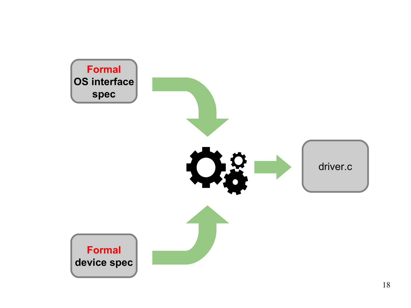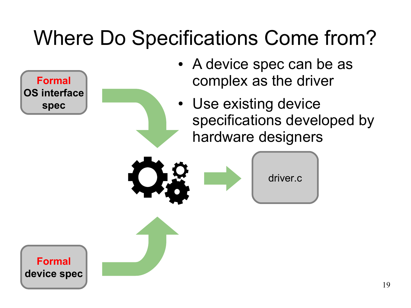# Where Do Specifications Come from?

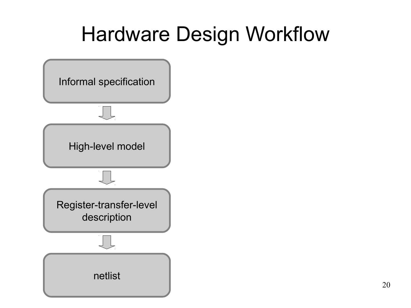#### Hardware Design Workflow

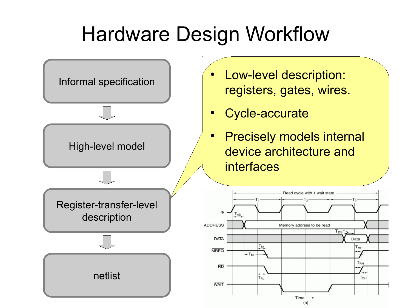#### Hardware Design Workflow

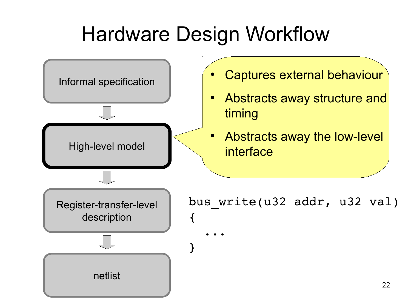### Hardware Design Workflow

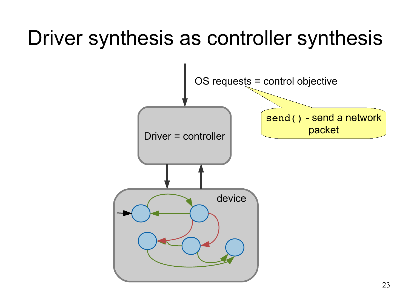### Driver synthesis as controller synthesis

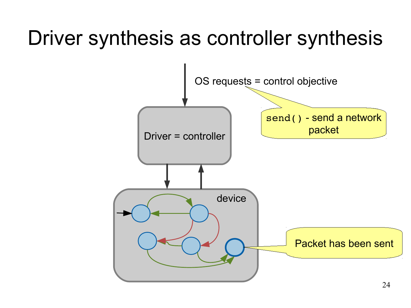### Driver synthesis as controller synthesis

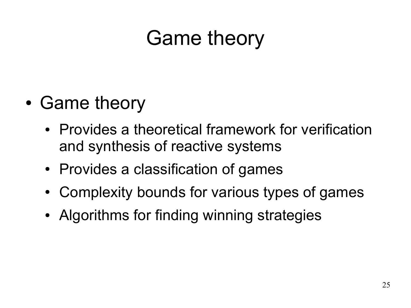# Game theory

- Game theory
	- Provides a theoretical framework for verification and synthesis of reactive systems
	- Provides a classification of games
	- Complexity bounds for various types of games
	- Algorithms for finding winning strategies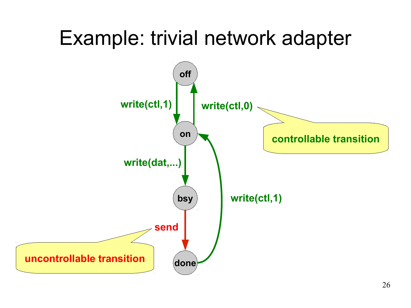### Example: trivial network adapter

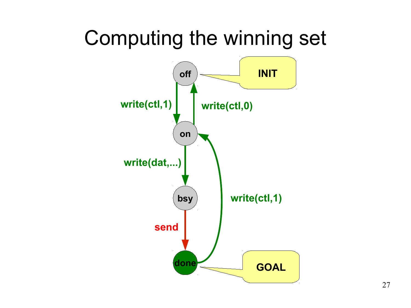#### Computing the winning set

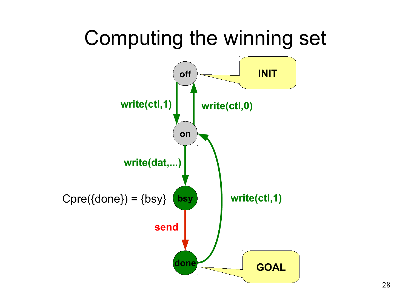#### Computing the winning set

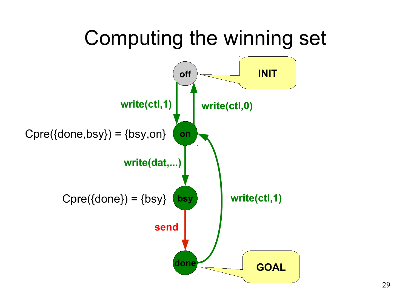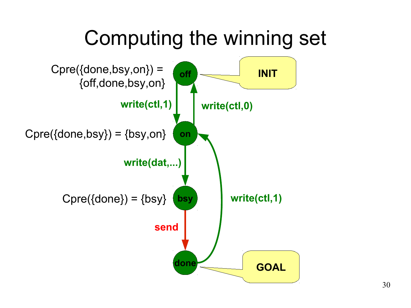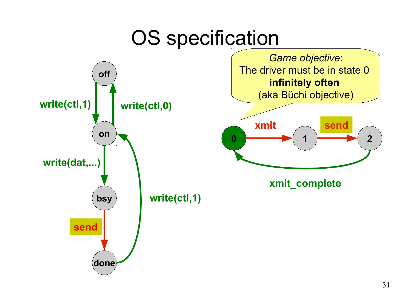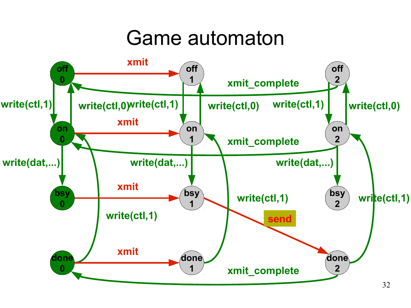#### Game automaton

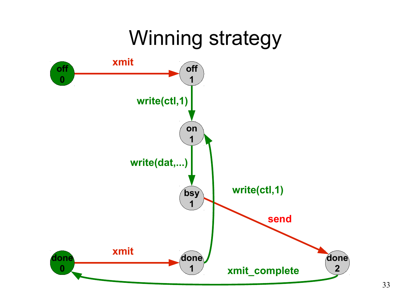### Winning strategy

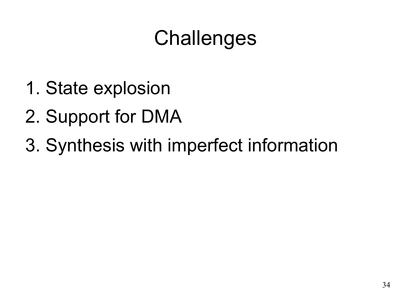# **Challenges**

- 1. State explosion
- 2. Support for DMA
- 3. Synthesis with imperfect information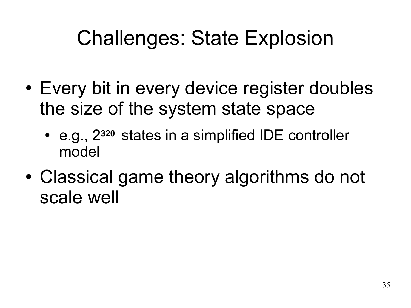# Challenges: State Explosion

- Every bit in every device register doubles the size of the system state space
	- e.g., 2**320** states in a simplified IDE controller model
- Classical game theory algorithms do not scale well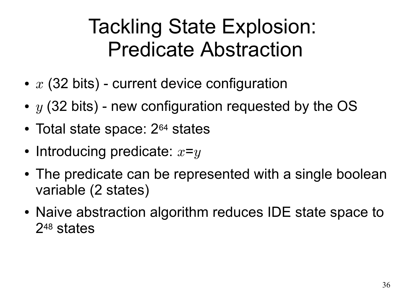#### Tackling State Explosion: Predicate Abstraction

- $x$  (32 bits) current device configuration
- $y$  (32 bits) new configuration requested by the OS
- Total state space:  $2^{64}$  states
- Introducing predicate:  $x= y$
- The predicate can be represented with a single boolean variable (2 states)
- Naive abstraction algorithm reduces IDE state space to 248 states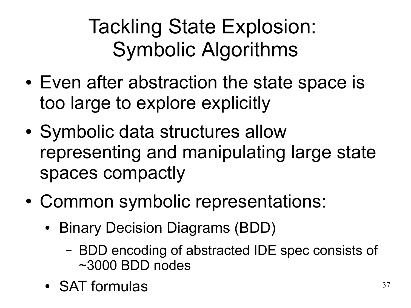# Tackling State Explosion: Symbolic Algorithms

- Even after abstraction the state space is too large to explore explicitly
- Symbolic data structures allow representing and manipulating large state spaces compactly
- Common symbolic representations:
	- Binary Decision Diagrams (BDD)
		- BDD encoding of abstracted IDE spec consists of ~3000 BDD nodes
	- SAT formulas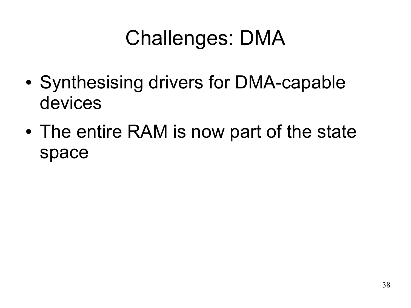# Challenges: DMA

- Synthesising drivers for DMA-capable devices
- The entire RAM is now part of the state space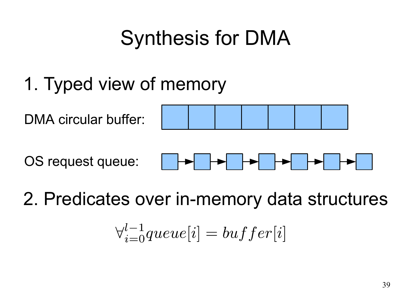# Synthesis for DMA

1. Typed view of memory

DMA circular buffer:



OS request queue:



2. Predicates over in-memory data structures

$$
\forall_{i=0}^{l-1} queue[i] = buffer[i]
$$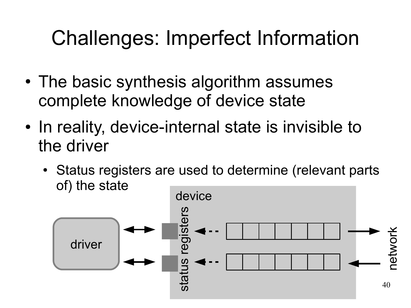### Challenges: Imperfect Information

- The basic synthesis algorithm assumes complete knowledge of device state
- In reality, device-internal state is invisible to the driver
	- Status registers are used to determine (relevant parts of) the state

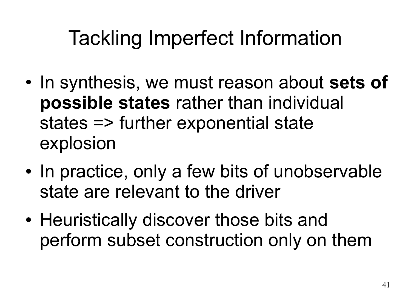# Tackling Imperfect Information

- In synthesis, we must reason about **sets of possible states** rather than individual states => further exponential state explosion
- In practice, only a few bits of unobservable state are relevant to the driver
- Heuristically discover those bits and perform subset construction only on them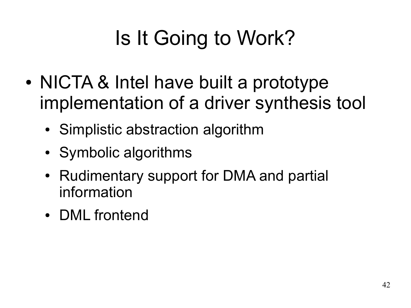# Is It Going to Work?

- NICTA & Intel have built a prototype implementation of a driver synthesis tool
	- Simplistic abstraction algorithm
	- Symbolic algorithms
	- Rudimentary support for DMA and partial information
	- DML frontend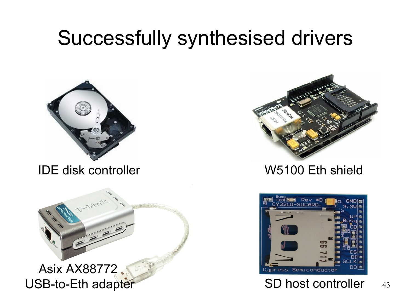#### Successfully synthesised drivers



IDE disk controller W5100 Eth shield



Asix AX88772 USB-to-Eth adapter SD host controller



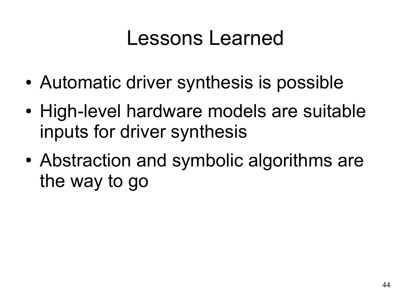#### Lessons Learned

- Automatic driver synthesis is possible
- High-level hardware models are suitable inputs for driver synthesis
- Abstraction and symbolic algorithms are the way to go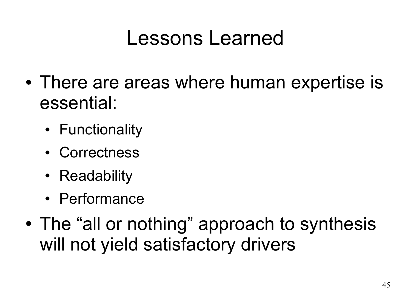#### Lessons Learned

- There are areas where human expertise is essential:
	- Functionality
	- Correctness
	- Readability
	- Performance
- The "all or nothing" approach to synthesis will not yield satisfactory drivers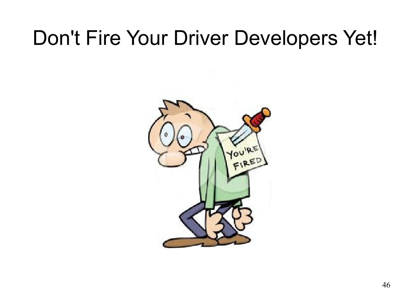#### Don't Fire Your Driver Developers Yet!

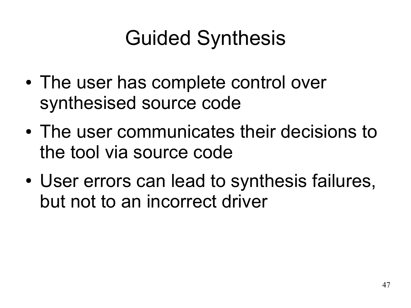# Guided Synthesis

- The user has complete control over synthesised source code
- The user communicates their decisions to the tool via source code
- User errors can lead to synthesis failures, but not to an incorrect driver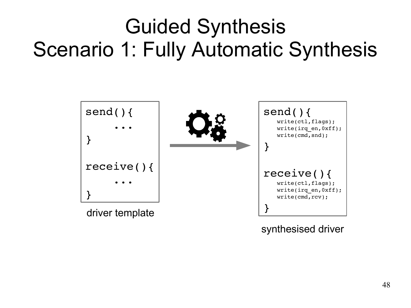### Guided Synthesis Scenario 1: Fully Automatic Synthesis



synthesised driver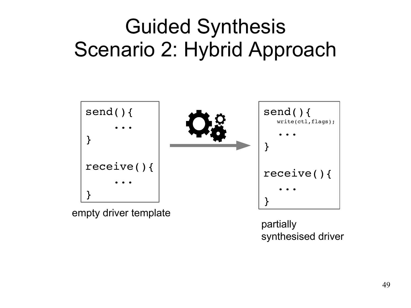

partially synthesised driver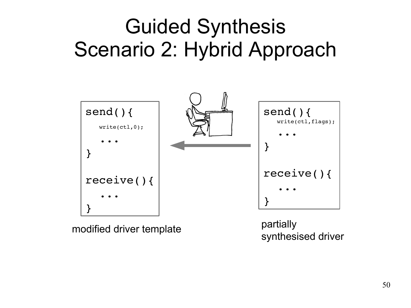

modified driver template

partially synthesised driver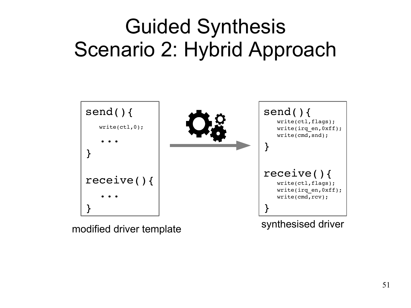

modified driver template synthesised driver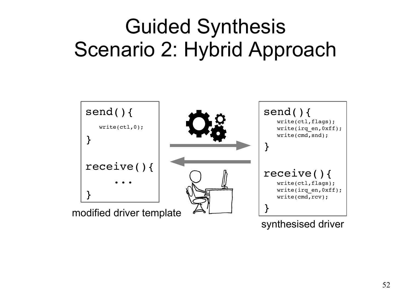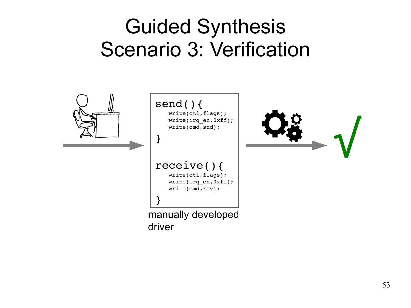#### Guided Synthesis Scenario 3: Verification